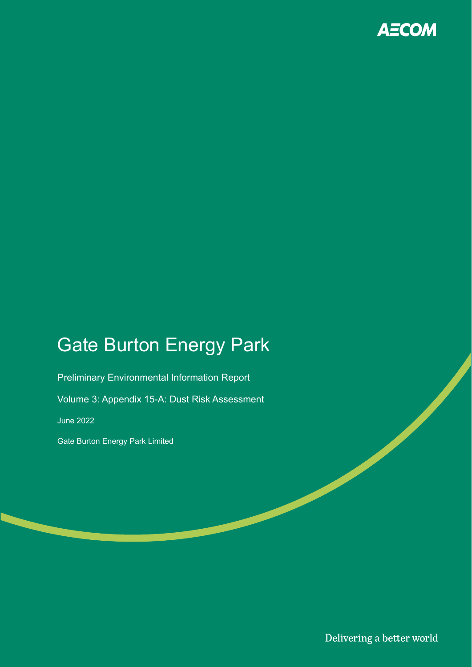

# Gate Burton Energy Park

Preliminary Environmental Information Report Volume 3: Appendix 15-A: Dust Risk Assessment June 2022 Gate Burton Energy Park Limited

Delivering a better world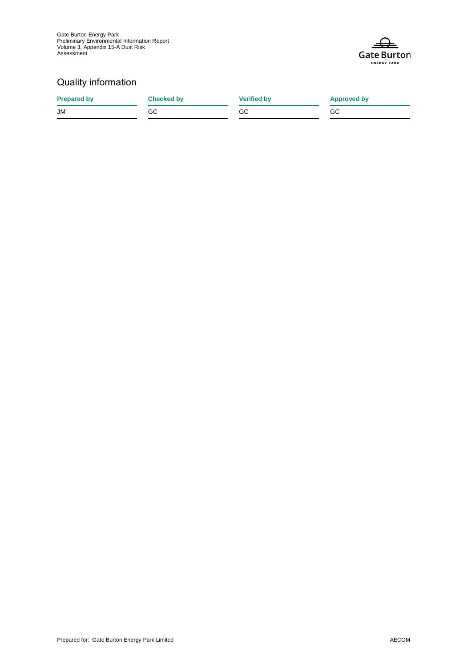

## Quality information

| <b>Prepared by</b> | <b>Checked by</b> | <b>Verified by</b> | <b>Approved by</b> |
|--------------------|-------------------|--------------------|--------------------|
| <b>JM</b>          | GC.               | GC                 | GC                 |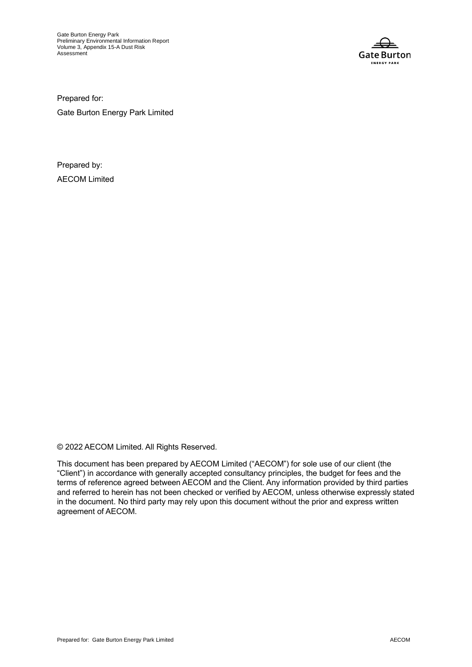Gate Burton Energy Park Preliminary Environmental Information Report Volume 3, Appendix 15-A Dust Risk Assessment



Prepared for:

Gate Burton Energy Park Limited

Prepared by: AECOM Limited

© 2022 AECOM Limited. All Rights Reserved.

This document has been prepared by AECOM Limited ("AECOM") for sole use of our client (the "Client") in accordance with generally accepted consultancy principles, the budget for fees and the terms of reference agreed between AECOM and the Client. Any information provided by third parties and referred to herein has not been checked or verified by AECOM, unless otherwise expressly stated in the document. No third party may rely upon this document without the prior and express written agreement of AECOM.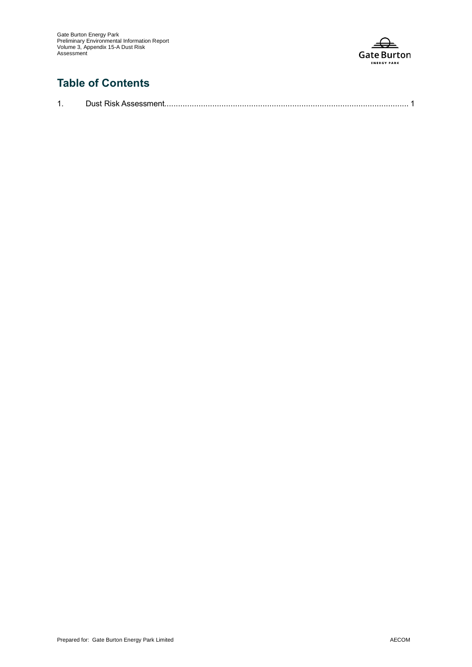

# **Table of Contents**

| Just<br>ND N |  |
|--------------|--|
|              |  |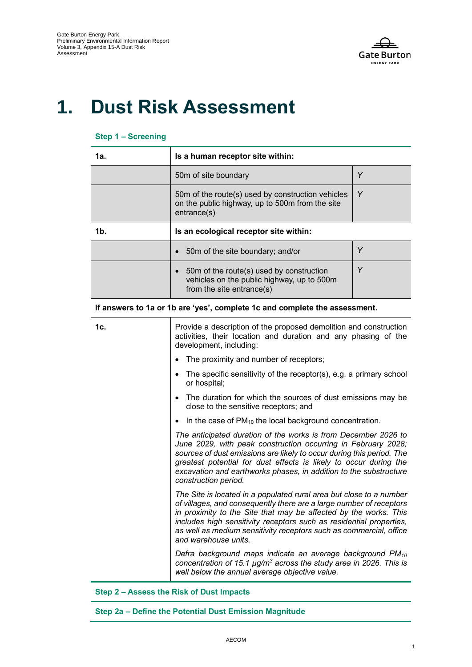

# **1. Dust Risk Assessment**

#### **Step 1 – Screening**

| 1а. | Is a human receptor site within:                                                                                    |   |  |
|-----|---------------------------------------------------------------------------------------------------------------------|---|--|
|     | 50m of site boundary                                                                                                | Y |  |
|     | 50m of the route(s) used by construction vehicles<br>on the public highway, up to 500m from the site<br>entrance(s) | Υ |  |
| 1b. | Is an ecological receptor site within:                                                                              |   |  |
|     | 50m of the site boundary; and/or                                                                                    | Υ |  |
|     | 50m of the route(s) used by construction<br>vehicles on the public highway, up to 500m<br>from the site entrance(s) | Υ |  |

**If answers to 1a or 1b are 'yes', complete 1c and complete the assessment.**

| 1c. | Provide a description of the proposed demolition and construction<br>activities, their location and duration and any phasing of the<br>development, including:                                                                                                                                                                                                                      |
|-----|-------------------------------------------------------------------------------------------------------------------------------------------------------------------------------------------------------------------------------------------------------------------------------------------------------------------------------------------------------------------------------------|
|     | The proximity and number of receptors;<br>$\bullet$                                                                                                                                                                                                                                                                                                                                 |
|     | The specific sensitivity of the receptor(s), e.g. a primary school<br>$\bullet$<br>or hospital;                                                                                                                                                                                                                                                                                     |
|     | The duration for which the sources of dust emissions may be<br>close to the sensitive receptors; and                                                                                                                                                                                                                                                                                |
|     | In the case of PM <sub>10</sub> the local background concentration.<br>$\bullet$                                                                                                                                                                                                                                                                                                    |
|     | The anticipated duration of the works is from December 2026 to<br>June 2029, with peak construction occurring in February 2028;<br>sources of dust emissions are likely to occur during this period. The<br>greatest potential for dust effects is likely to occur during the<br>excavation and earthworks phases, in addition to the substructure<br>construction period.          |
|     | The Site is located in a populated rural area but close to a number<br>of villages, and consequently there are a large number of receptors<br>in proximity to the Site that may be affected by the works. This<br>includes high sensitivity receptors such as residential properties,<br>as well as medium sensitivity receptors such as commercial, office<br>and warehouse units. |
|     | Defra background maps indicate an average background PM <sub>10</sub><br>concentration of 15.1 $\mu$ g/m <sup>3</sup> across the study area in 2026. This is<br>well below the annual average objective value.                                                                                                                                                                      |

#### **Step 2 – Assess the Risk of Dust Impacts**

**Step 2a – Define the Potential Dust Emission Magnitude**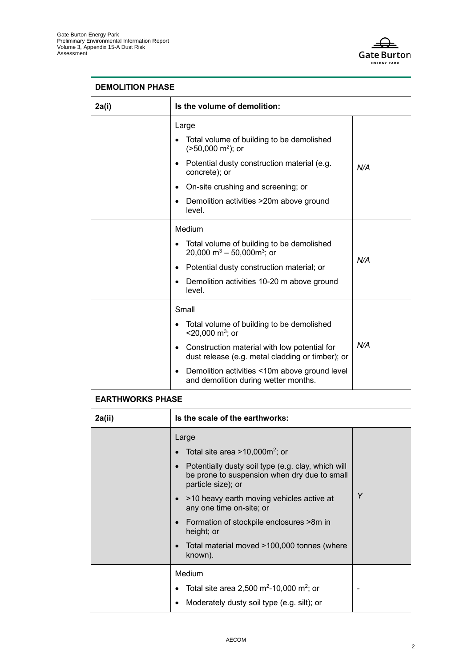

### **DEMOLITION PHASE**

| 2a(i) | Is the volume of demolition:                                                                                                                                                                                                                                                                                |     |  |
|-------|-------------------------------------------------------------------------------------------------------------------------------------------------------------------------------------------------------------------------------------------------------------------------------------------------------------|-----|--|
|       | Large<br>Total volume of building to be demolished<br>$(>50,000 \text{ m}^2)$ ; or<br>Potential dusty construction material (e.g.<br>concrete); or<br>On-site crushing and screening; or<br>Demolition activities >20m above ground<br>level.                                                               | N/A |  |
|       | Medium<br>Total volume of building to be demolished<br>20,000 m <sup>3</sup> – 50,000m <sup>3</sup> ; or<br>Potential dusty construction material; or<br>$\bullet$<br>Demolition activities 10-20 m above ground<br>level.                                                                                  | N/A |  |
|       | Small<br>Total volume of building to be demolished<br>$<$ 20,000 m <sup>3</sup> ; or<br>Construction material with low potential for<br>$\bullet$<br>dust release (e.g. metal cladding or timber); or<br>Demolition activities <10m above ground level<br>$\bullet$<br>and demolition during wetter months. | N/A |  |

### **EARTHWORKS PHASE**

| 2a(ii) | Is the scale of the earthworks:                                                                                                                                                                                                                                                                                                                                                              |   |
|--------|----------------------------------------------------------------------------------------------------------------------------------------------------------------------------------------------------------------------------------------------------------------------------------------------------------------------------------------------------------------------------------------------|---|
|        | Large<br>Total site area $>10,000$ m <sup>2</sup> ; or<br>Potentially dusty soil type (e.g. clay, which will<br>be prone to suspension when dry due to small<br>particle size); or<br>>10 heavy earth moving vehicles active at<br>any one time on-site; or<br>Formation of stockpile enclosures >8m in<br>$\bullet$<br>height; or<br>Total material moved >100,000 tonnes (where<br>known). | Y |
|        | Medium<br>Total site area 2,500 m <sup>2</sup> -10,000 m <sup>2</sup> ; or<br>Moderately dusty soil type (e.g. silt); or                                                                                                                                                                                                                                                                     |   |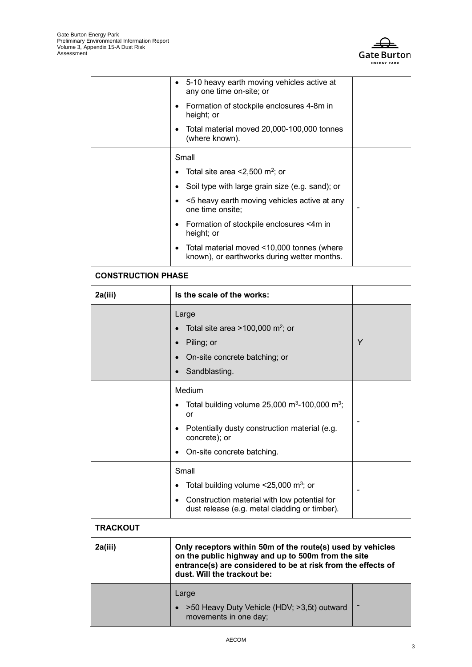

| 5-10 heavy earth moving vehicles active at<br>any one time on-site; or                    |  |
|-------------------------------------------------------------------------------------------|--|
| Formation of stockpile enclosures 4-8m in<br>height; or                                   |  |
| Total material moved 20,000-100,000 tonnes<br>(where known).                              |  |
| Small                                                                                     |  |
| Total site area $<$ 2,500 m <sup>2</sup> ; or                                             |  |
| Soil type with large grain size (e.g. sand); or                                           |  |
| <5 heavy earth moving vehicles active at any<br>one time onsite;                          |  |
| Formation of stockpile enclosures <4m in<br>height; or                                    |  |
| Total material moved <10,000 tonnes (where<br>known), or earthworks during wetter months. |  |
|                                                                                           |  |

## **CONSTRUCTION PHASE**

| 2a(iii)         | Is the scale of the works:                                                                                                                                                                                      |   |
|-----------------|-----------------------------------------------------------------------------------------------------------------------------------------------------------------------------------------------------------------|---|
|                 | Large<br>Total site area >100,000 m <sup>2</sup> ; or<br>Piling; or<br>$\bullet$<br>On-site concrete batching; or<br>Sandblasting.                                                                              | Y |
|                 | Medium<br>Total building volume $25,000 \text{ m}^3$ -100,000 m <sup>3</sup> ;<br>٠<br>or<br>Potentially dusty construction material (e.g.<br>concrete); or<br>On-site concrete batching.<br>٠                  |   |
|                 | Small<br>Total building volume $\leq$ 25,000 m <sup>3</sup> ; or<br>Construction material with low potential for<br>$\bullet$<br>dust release (e.g. metal cladding or timber).                                  |   |
| <b>TRACKOUT</b> |                                                                                                                                                                                                                 |   |
| 2a(iii)         | Only receptors within 50m of the route(s) used by vehicles<br>on the public highway and up to 500m from the site<br>entrance(s) are considered to be at risk from the effects of<br>dust. Will the trackout be: |   |

| Large                                                                          |  |
|--------------------------------------------------------------------------------|--|
| $\bullet$ >50 Heavy Duty Vehicle (HDV; >3,5t) outward<br>movements in one day; |  |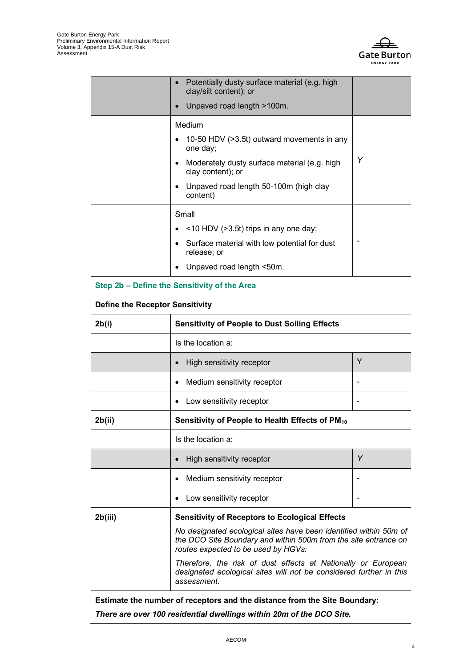

| Potentially dusty surface material (e.g. high<br>clay/silt content); or<br>Unpaved road length >100m.                                                                                       |   |
|---------------------------------------------------------------------------------------------------------------------------------------------------------------------------------------------|---|
| Medium<br>10-50 HDV (>3.5t) outward movements in any<br>one day;<br>Moderately dusty surface material (e.g. high<br>clay content); or<br>Unpaved road length 50-100m (high clay<br>content) | Υ |
| Small<br>$\bullet$ <10 HDV (>3.5t) trips in any one day;<br>Surface material with low potential for dust<br>release; or<br>Unpaved road length <50m.                                        |   |

### **Step 2b – Define the Sensitivity of the Area**

#### **Define the Receptor Sensitivity**

| 2b(i)   | <b>Sensitivity of People to Dust Soiling Effects</b>                                                                                                                        |   |
|---------|-----------------------------------------------------------------------------------------------------------------------------------------------------------------------------|---|
|         | Is the location a:                                                                                                                                                          |   |
|         | High sensitivity receptor                                                                                                                                                   | Y |
|         | Medium sensitivity receptor<br>٠                                                                                                                                            |   |
|         | Low sensitivity receptor                                                                                                                                                    |   |
| 2b(ii)  | Sensitivity of People to Health Effects of PM10                                                                                                                             |   |
|         | Is the location a:                                                                                                                                                          |   |
|         | High sensitivity receptor                                                                                                                                                   | Y |
|         | Medium sensitivity receptor                                                                                                                                                 |   |
|         | Low sensitivity receptor                                                                                                                                                    |   |
| 2b(iii) | <b>Sensitivity of Receptors to Ecological Effects</b>                                                                                                                       |   |
|         | No designated ecological sites have been identified within 50m of<br>the DCO Site Boundary and within 500m from the site entrance on<br>routes expected to be used by HGVs: |   |
|         | Therefore, the risk of dust effects at Nationally or European<br>designated ecological sites will not be considered further in this<br>assessment.                          |   |

**Estimate the number of receptors and the distance from the Site Boundary:** 

*There are over 100 residential dwellings within 20m of the DCO Site.*